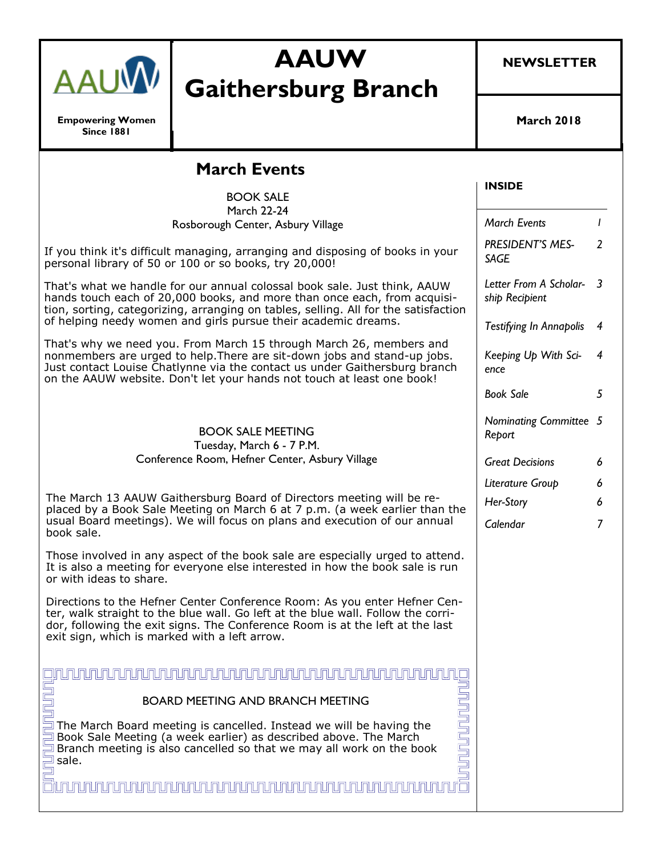

**Empowering Women Since 1881**

# **AAUW Gaithersburg Branch**

**NEWSLETTER**

**March 2018**

|  | <b>March Events</b><br><b>BOOK SALE</b>                                                                                                                                                                                                                                                                 | <b>INSIDE</b>                              |                |
|--|---------------------------------------------------------------------------------------------------------------------------------------------------------------------------------------------------------------------------------------------------------------------------------------------------------|--------------------------------------------|----------------|
|  | <b>March 22-24</b>                                                                                                                                                                                                                                                                                      |                                            |                |
|  | Rosborough Center, Asbury Village                                                                                                                                                                                                                                                                       | <b>March Events</b>                        | I              |
|  | If you think it's difficult managing, arranging and disposing of books in your<br>personal library of 50 or 100 or so books, try 20,000!                                                                                                                                                                | PRESIDENT'S MES-<br><b>SAGE</b>            | $\overline{2}$ |
|  | That's what we handle for our annual colossal book sale. Just think, AAUW<br>hands touch each of 20,000 books, and more than once each, from acquisi-<br>tion, sorting, categorizing, arranging on tables, selling. All for the satisfaction                                                            | Letter From A Scholar- 3<br>ship Recipient |                |
|  | of helping needy women and girls pursue their academic dreams.                                                                                                                                                                                                                                          | <b>Testifying In Annapolis</b>             | $\overline{4}$ |
|  | That's why we need you. From March 15 through March 26, members and<br>nonmembers are urged to help. There are sit-down jobs and stand-up jobs.<br>Just contact Louise Chatlynne via the contact us under Gaithersburg branch<br>on the AAUW website. Don't let your hands not touch at least one book! | Keeping Up With Sci-<br>ence               | 4              |
|  |                                                                                                                                                                                                                                                                                                         | <b>Book Sale</b>                           | 5              |
|  | <b>BOOK SALE MEETING</b><br>Tuesday, March 6 - 7 P.M.                                                                                                                                                                                                                                                   | Nominating Committee 5<br>Report           |                |
|  | Conference Room, Hefner Center, Asbury Village                                                                                                                                                                                                                                                          | <b>Great Decisions</b>                     | 6              |
|  |                                                                                                                                                                                                                                                                                                         | Literature Group                           | 6              |
|  | The March 13 AAUW Gaithersburg Board of Directors meeting will be re-<br>placed by a Book Sale Meeting on March 6 at 7 p.m. (a week earlier than the<br>usual Board meetings). We will focus on plans and execution of our annual<br>book sale.                                                         | Her-Story                                  | 6              |
|  |                                                                                                                                                                                                                                                                                                         | Calendar                                   | $\overline{7}$ |
|  | Those involved in any aspect of the book sale are especially urged to attend.<br>It is also a meeting for everyone else interested in how the book sale is run<br>or with ideas to share.                                                                                                               |                                            |                |
|  | Directions to the Hefner Center Conference Room: As you enter Hefner Cen-<br>ter, walk straight to the blue wall. Go left at the blue wall. Follow the corri-<br>dor, following the exit signs. The Conference Room is at the left at the last<br>exit sign, which is marked with a left arrow.         |                                            |                |
|  |                                                                                                                                                                                                                                                                                                         |                                            |                |
|  | <b>BOARD MEETING AND BRANCH MEETING</b>                                                                                                                                                                                                                                                                 |                                            |                |
|  | The March Board meeting is cancelled. Instead we will be having the<br>Book Sale Meeting (a week earlier) as described above. The March<br>Branch meeting is also cancelled so that we may all work on the book<br>sale.                                                                                |                                            |                |
|  |                                                                                                                                                                                                                                                                                                         |                                            |                |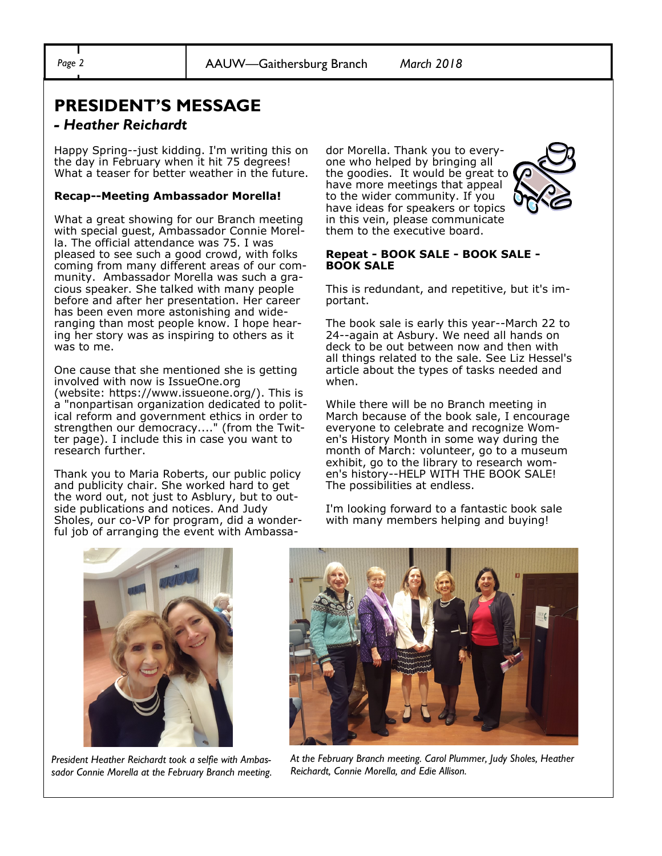## **PRESIDENT'S MESSAGE**

#### *- Heather Reichardt*

Happy Spring--just kidding. I'm writing this on the day in February when it hit 75 degrees! What a teaser for better weather in the future.

#### **Recap--Meeting Ambassador Morella!**

What a great showing for our Branch meeting with special guest, Ambassador Connie Morella. The official attendance was 75. I was pleased to see such a good crowd, with folks coming from many different areas of our community. Ambassador Morella was such a gracious speaker. She talked with many people before and after her presentation. Her career has been even more astonishing and wideranging than most people know. I hope hearing her story was as inspiring to others as it was to me.

One cause that she mentioned she is getting involved with now is IssueOne.org (website: https://www.issueone.org/). This is a "nonpartisan organization dedicated to political reform and government ethics in order to strengthen our democracy...." (from the Twitter page). I include this in case you want to research further.

Thank you to Maria Roberts, our public policy and publicity chair. She worked hard to get the word out, not just to Asblury, but to outside publications and notices. And Judy Sholes, our co-VP for program, did a wonderful job of arranging the event with Ambassador Morella. Thank you to everyone who helped by bringing all the goodies. It would be great to have more meetings that appeal to the wider community. If you have ideas for speakers or topics in this vein, please communicate them to the executive board.



#### **Repeat - BOOK SALE - BOOK SALE - BOOK SALE**

This is redundant, and repetitive, but it's important.

The book sale is early this year--March 22 to 24--again at Asbury. We need all hands on deck to be out between now and then with all things related to the sale. See Liz Hessel's article about the types of tasks needed and when.

While there will be no Branch meeting in March because of the book sale, I encourage everyone to celebrate and recognize Women's History Month in some way during the month of March: volunteer, go to a museum exhibit, go to the library to research women's history--HELP WITH THE BOOK SALE! The possibilities at endless.

I'm looking forward to a fantastic book sale with many members helping and buying!



*President Heather Reichardt took a selfie with Ambassador Connie Morella at the February Branch meeting.* 



*At the February Branch meeting. Carol Plummer, Judy Sholes, Heather Reichardt, Connie Morella, and Edie Allison.*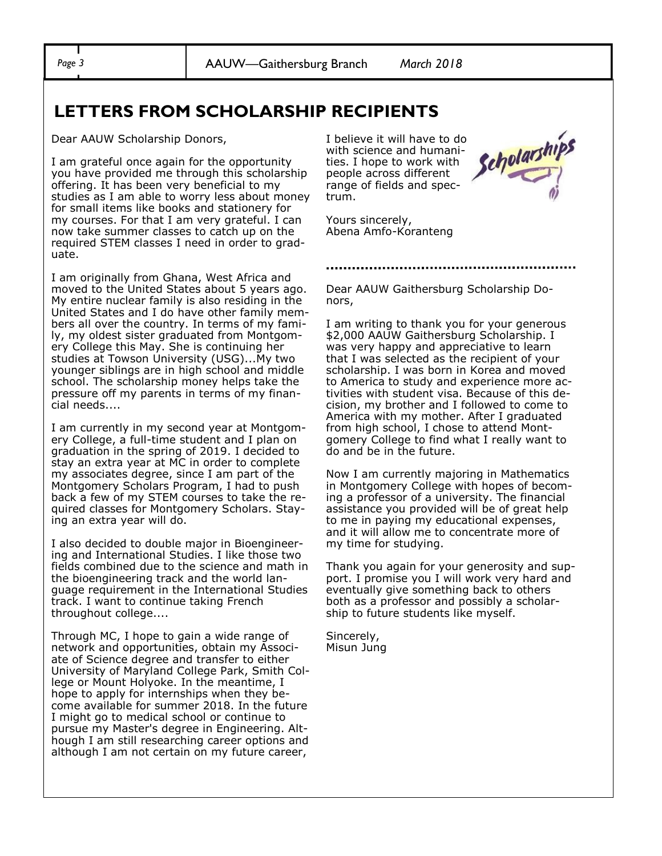*Page 3* AAUW—Gaithersburg Branch *March 2018*

## **LETTERS FROM SCHOLARSHIP RECIPIENTS**

Dear AAUW Scholarship Donors,

I am grateful once again for the opportunity you have provided me through this scholarship offering. It has been very beneficial to my studies as I am able to worry less about money for small items like books and stationery for my courses. For that I am very grateful. I can now take summer classes to catch up on the required STEM classes I need in order to graduate.

I am originally from Ghana, West Africa and moved to the United States about 5 years ago. My entire nuclear family is also residing in the United States and I do have other family members all over the country. In terms of my family, my oldest sister graduated from Montgomery College this May. She is continuing her studies at Towson University (USG)...My two younger siblings are in high school and middle school. The scholarship money helps take the pressure off my parents in terms of my financial needs....

I am currently in my second year at Montgomery College, a full-time student and I plan on graduation in the spring of 2019. I decided to stay an extra year at MC in order to complete my associates degree, since I am part of the Montgomery Scholars Program, I had to push back a few of my STEM courses to take the required classes for Montgomery Scholars. Staying an extra year will do.

I also decided to double major in Bioengineering and International Studies. I like those two fields combined due to the science and math in the bioengineering track and the world language requirement in the International Studies track. I want to continue taking French throughout college....

Through MC, I hope to gain a wide range of network and opportunities, obtain my Associate of Science degree and transfer to either University of Maryland College Park, Smith College or Mount Holyoke. In the meantime, I hope to apply for internships when they become available for summer 2018. In the future I might go to medical school or continue to pursue my Master's degree in Engineering. Although I am still researching career options and although I am not certain on my future career,

I believe it will have to do with science and humanities. I hope to work with people across different range of fields and spectrum.



Yours sincerely, Abena Amfo-Koranteng

Dear AAUW Gaithersburg Scholarship Donors,

I am writing to thank you for your generous \$2,000 AAUW Gaithersburg Scholarship. I was very happy and appreciative to learn that I was selected as the recipient of your scholarship. I was born in Korea and moved to America to study and experience more activities with student visa. Because of this decision, my brother and I followed to come to America with my mother. After I graduated from high school, I chose to attend Montgomery College to find what I really want to do and be in the future.

Now I am currently majoring in Mathematics in Montgomery College with hopes of becoming a professor of a university. The financial assistance you provided will be of great help to me in paying my educational expenses, and it will allow me to concentrate more of my time for studying.

Thank you again for your generosity and support. I promise you I will work very hard and eventually give something back to others both as a professor and possibly a scholarship to future students like myself.

Sincerely, Misun Jung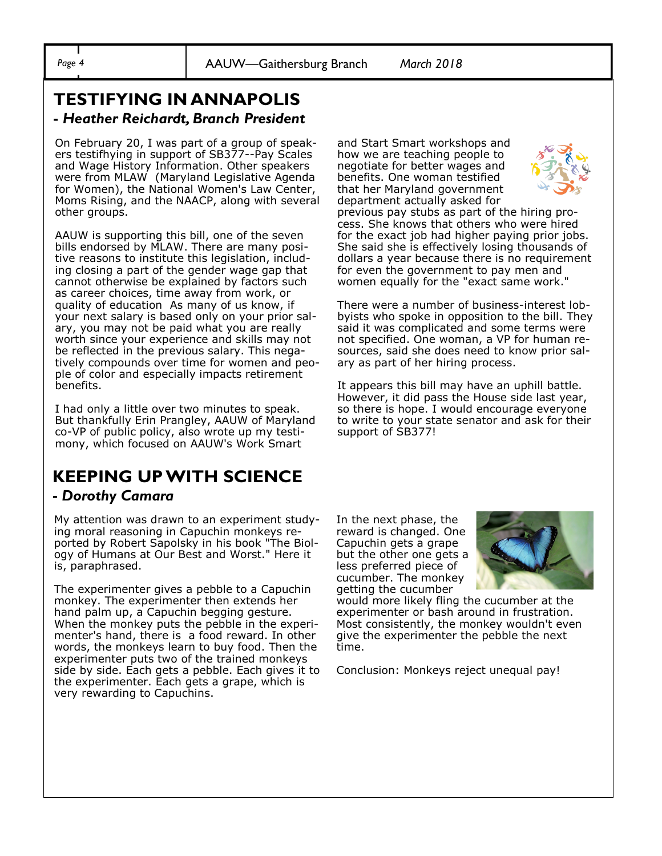*Page 4* AAUW—Gaithersburg Branch *March 2018*

#### **TESTIFYING IN ANNAPOLIS -** *Heather Reichardt, Branch President*

On February 20, I was part of a group of speakers testifhying in support of SB377--Pay Scales and Wage History Information. Other speakers were from MLAW (Maryland Legislative Agenda for Women), the National Women's Law Center, Moms Rising, and the NAACP, along with several other groups.

AAUW is supporting this bill, one of the seven bills endorsed by MLAW. There are many positive reasons to institute this legislation, including closing a part of the gender wage gap that cannot otherwise be explained by factors such as career choices, time away from work, or quality of education As many of us know, if your next salary is based only on your prior salary, you may not be paid what you are really worth since your experience and skills may not be reflected in the previous salary. This negatively compounds over time for women and people of color and especially impacts retirement benefits.

I had only a little over two minutes to speak. But thankfully Erin Prangley, AAUW of Maryland co-VP of public policy, also wrote up my testimony, which focused on AAUW's Work Smart

## **KEEPING UP WITH SCIENCE**

#### **-** *Dorothy Camara*

My attention was drawn to an experiment studying moral reasoning in Capuchin monkeys reported by Robert Sapolsky in his book "The Biology of Humans at Our Best and Worst." Here it is, paraphrased.

The experimenter gives a pebble to a Capuchin monkey. The experimenter then extends her hand palm up, a Capuchin begging gesture. When the monkey puts the pebble in the experimenter's hand, there is a food reward. In other words, the monkeys learn to buy food. Then the experimenter puts two of the trained monkeys side by side. Each gets a pebble. Each gives it to the experimenter. Each gets a grape, which is very rewarding to Capuchins.

and Start Smart workshops and how we are teaching people to negotiate for better wages and benefits. One woman testified that her Maryland government department actually asked for



previous pay stubs as part of the hiring process. She knows that others who were hired for the exact job had higher paying prior jobs. She said she is effectively losing thousands of dollars a year because there is no requirement for even the government to pay men and women equally for the "exact same work."

There were a number of business-interest lobbyists who spoke in opposition to the bill. They said it was complicated and some terms were not specified. One woman, a VP for human resources, said she does need to know prior salary as part of her hiring process.

It appears this bill may have an uphill battle. However, it did pass the House side last year, so there is hope. I would encourage everyone to write to your state senator and ask for their support of SB377!

In the next phase, the reward is changed. One Capuchin gets a grape but the other one gets a less preferred piece of cucumber. The monkey getting the cucumber



would more likely fling the cucumber at the experimenter or bash around in frustration. Most consistently, the monkey wouldn't even give the experimenter the pebble the next time.

Conclusion: Monkeys reject unequal pay!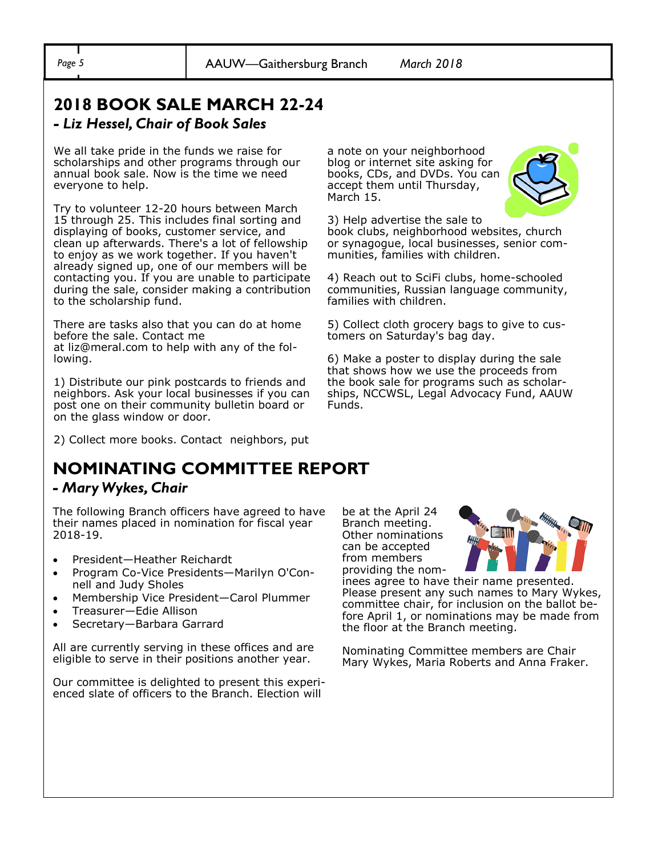## **2018 BOOK SALE MARCH 22-24**  *- Liz Hessel, Chair of Book Sales*

#### We all take pride in the funds we raise for scholarships and other programs through our annual book sale. Now is the time we need everyone to help.

Try to volunteer 12-20 hours between March 15 through 25. This includes final sorting and displaying of books, customer service, and clean up afterwards. There's a lot of fellowship to enjoy as we work together. If you haven't already signed up, one of our members will be contacting you. If you are unable to participate during the sale, consider making a contribution to the scholarship fund.

There are tasks also that you can do at home before the sale. Contact me at liz@meral.com to help with any of the following.

1) Distribute our pink postcards to friends and neighbors. Ask your local businesses if you can post one on their community bulletin board or on the glass window or door.

2) Collect more books. Contact neighbors, put

## **NOMINATING COMMITTEE REPORT**

#### *- Mary Wykes, Chair*

The following Branch officers have agreed to have their names placed in nomination for fiscal year 2018-19.

- President—Heather Reichardt
- Program Co-Vice Presidents—Marilyn O'Connell and Judy Sholes
- Membership Vice President—Carol Plummer
- Treasurer—Edie Allison
- Secretary—Barbara Garrard

All are currently serving in these offices and are eligible to serve in their positions another year.

Our committee is delighted to present this experienced slate of officers to the Branch. Election will

a note on your neighborhood blog or internet site asking for books, CDs, and DVDs. You can accept them until Thursday, March 15.



3) Help advertise the sale to book clubs, neighborhood websites, church or synagogue, local businesses, senior communities, families with children.

4) Reach out to SciFi clubs, home-schooled communities, Russian language community, families with children.

5) Collect cloth grocery bags to give to customers on Saturday's bag day.

6) Make a poster to display during the sale that shows how we use the proceeds from the book sale for programs such as scholarships, NCCWSL, Legal Advocacy Fund, AAUW Funds.

be at the April 24 Branch meeting. Other nominations can be accepted from members providing the nom-



inees agree to have their name presented. Please present any such names to Mary Wykes, committee chair, for inclusion on the ballot before April 1, or nominations may be made from the floor at the Branch meeting.

Nominating Committee members are Chair Mary Wykes, Maria Roberts and Anna Fraker.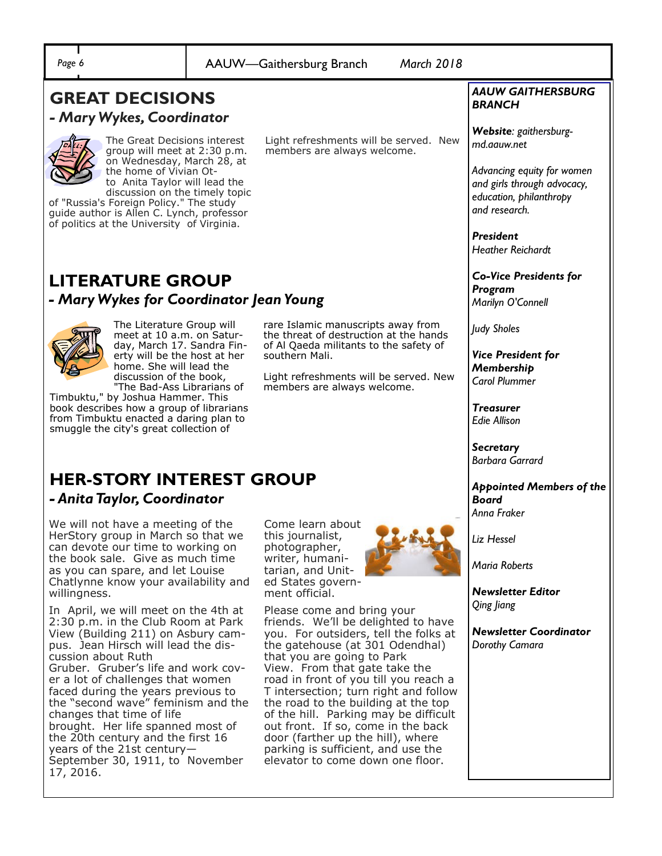| ٠<br>l<br>- |
|-------------|
|             |

*Page 6* AAUW—Gaithersburg Branch *March 2018*

### **GREAT DECISIONS**  *- Mary Wykes, Coordinator*



The Great Decisions interest group will meet at 2:30 p.m. on Wednesday, March 28, at the home of Vivian Otto Anita Taylor will lead the

discussion on the timely topic of "Russia's Foreign Policy." The study guide author is Allen C. Lynch, professor of politics at the University of Virginia.

Light refreshments will be served. New members are always welcome.

rare Islamic manuscripts away from the threat of destruction at the hands of Al Qaeda militants to the safety of

Light refreshments will be served. New

members are always welcome.

## **LITERATURE GROUP** *- Mary Wykes for Coordinator Jean Young*



The Literature Group will meet at 10 a.m. on Saturday, March 17. Sandra Finerty will be the host at her home. She will lead the discussion of the book, "The Bad-Ass Librarians of

Timbuktu," by Joshua Hammer. This book describes how a group of librarians from Timbuktu enacted a daring plan to smuggle the city's great collection of

## **HER-STORY INTEREST GROUP**  *- Anita Taylor, Coordinator*

We will not have a meeting of the HerStory group in March so that we can devote our time to working on the book sale. Give as much time as you can spare, and let Louise Chatlynne know your availability and willingness.

In April, we will meet on the 4th at 2:30 p.m. in the Club Room at Park View (Building 211) on Asbury campus. Jean Hirsch will lead the discussion about Ruth Gruber. Gruber's life and work cover a lot of challenges that women faced during the years previous to the "second wave" feminism and the changes that time of life brought. Her life spanned most of the 20th century and the first 16 years of the 21st century— September 30, 1911, to November 17, 2016.

Come learn about this journalist, photographer, writer, humanitarian, and United States government official.

southern Mali.



Please come and bring your friends. We'll be delighted to have you. For outsiders, tell the folks at the gatehouse (at 301 Odendhal) that you are going to Park View. From that gate take the road in front of you till you reach a T intersection; turn right and follow the road to the building at the top of the hill. Parking may be difficult out front. If so, come in the back door (farther up the hill), where parking is sufficient, and use the elevator to come down one floor.

#### *AAUW GAITHERSBURG BRANCH*

*Website: gaithersburgmd.aauw.net* 

*Advancing equity for women and girls through advocacy, education, philanthropy and research.*

*President Heather Reichardt*

*Co-Vice Presidents for Program Marilyn O'Connell*

*Judy Sholes*

*Vice President for Membership Carol Plummer*

*Treasurer Edie Allison*

*Secretary Barbara Garrard*

*Appointed Members of the Board Anna Fraker*

*Liz Hessel*

*Maria Roberts*

*Newsletter Editor Qing Jiang*

*Newsletter Coordinator Dorothy Camara*